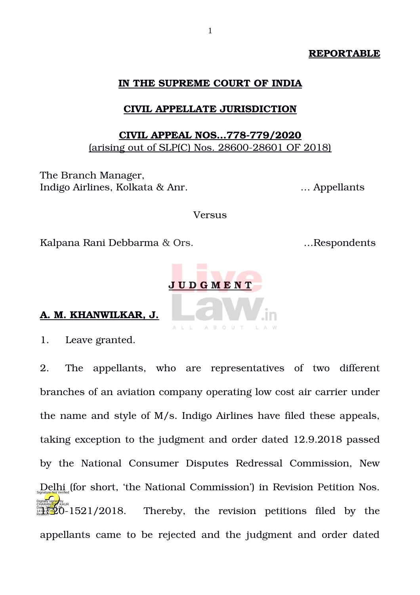# **REPORTABLE**

# **IN THE SUPREME COURT OF INDIA**

# **CIVIL APPELLATE JURISDICTION**

# **CIVIL APPEAL NOS...778-779/2020** (arising out of SLP(C) Nos.  $28600 - 28601$  OF  $2018$ )

The Branch Manager, Indigo Airlines, Kolkata & Anr. … Appellants

Versus

Kalpana Rani Debbarma & Ors. …Respondents



# **A. M. KHANWILKAR, J.**

1. Leave granted.

2. The appellants, who are representatives of two different branches of an aviation company operating low cost air carrier under the name and style of M/s. Indigo Airlines have filed these appeals, taking exception to the judgment and order dated 12.9.2018 passed by the National Consumer Disputes Redressal Commission, New Delhi (Verified (for short, 'the National Commission') in Revision Petition Nos. Thereby, the revision petitions filed by the appellants came to be rejected and the judgment and order dated Digitally signed by CHARAN<mark>JEF</mark>T KAUR Date: 2020.<br>14:09:41<mark>1SP</mark>C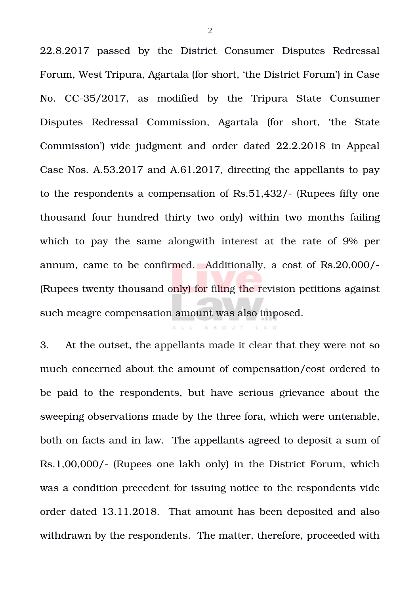22.8.2017 passed by the District Consumer Disputes Redressal Forum, West Tripura, Agartala (for short, 'the District Forum') in Case No. CC-35/2017, as modified by the Tripura State Consumer Disputes Redressal Commission, Agartala (for short, 'the State Commission') vide judgment and order dated 22.2.2018 in Appeal Case Nos. A.53.2017 and A.61.2017, directing the appellants to pay to the respondents a compensation of Rs.51,432/- (Rupees fifty one thousand four hundred thirty two only) within two months failing which to pay the same alongwith interest at the rate of 9% per annum, came to be confirmed. Additionally, a cost of Rs.20,000/ (Rupees twenty thousand only) for filing the revision petitions against such meagre compensation amount was also imposed.

3. At the outset, the appellants made it clear that they were not so much concerned about the amount of compensation/cost ordered to be paid to the respondents, but have serious grievance about the sweeping observations made by the three fora, which were untenable, both on facts and in law. The appellants agreed to deposit a sum of Rs.1,00,000/ (Rupees one lakh only) in the District Forum, which was a condition precedent for issuing notice to the respondents vide order dated 13.11.2018. That amount has been deposited and also withdrawn by the respondents. The matter, therefore, proceeded with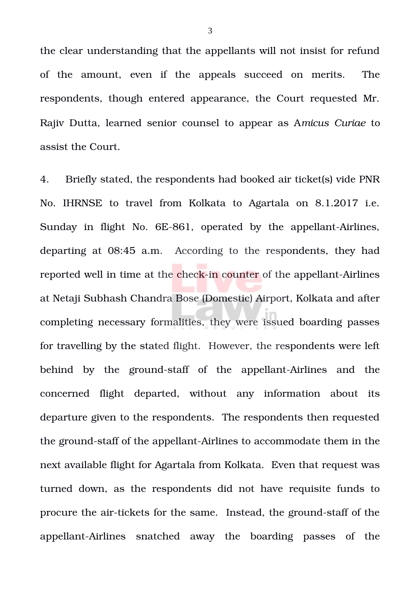the clear understanding that the appellants will not insist for refund of the amount, even if the appeals succeed on merits. The respondents, though entered appearance, the Court requested Mr. Rajiv Dutta, learned senior counsel to appear as A*micus Curiae* to assist the Court.

4. Briefly stated, the respondents had booked air ticket(s) vide PNR No. IHRNSE to travel from Kolkata to Agartala on 8.1.2017 i.e. Sunday in flight No. 6E-861, operated by the appellant-Airlines, departing at 08:45 a.m. According to the respondents, they had reported well in time at the check-in counter of the appellant-Airlines at Netaji Subhash Chandra Bose (Domestic) Airport, Kolkata and after completing necessary formalities, they were issued boarding passes for travelling by the stated flight. However, the respondents were left behind by the ground-staff of the appellant-Airlines and the concerned flight departed, without any information about its departure given to the respondents. The respondents then requested the ground-staff of the appellant-Airlines to accommodate them in the next available flight for Agartala from Kolkata. Even that request was turned down, as the respondents did not have requisite funds to procure the air-tickets for the same. Instead, the ground-staff of the appellant-Airlines snatched away the boarding passes of the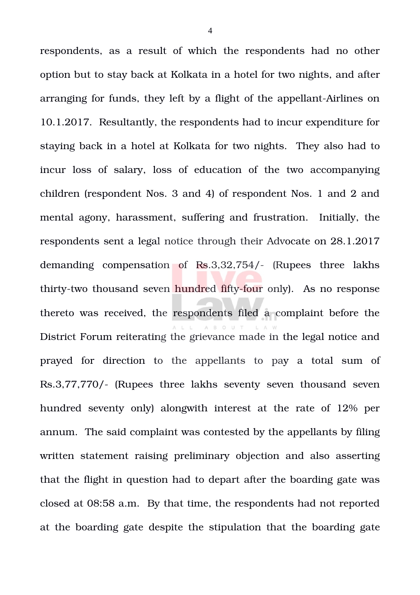respondents, as a result of which the respondents had no other option but to stay back at Kolkata in a hotel for two nights, and after arranging for funds, they left by a flight of the appellant-Airlines on 10.1.2017. Resultantly, the respondents had to incur expenditure for staying back in a hotel at Kolkata for two nights. They also had to incur loss of salary, loss of education of the two accompanying children (respondent Nos. 3 and 4) of respondent Nos. 1 and 2 and mental agony, harassment, suffering and frustration. Initially, the respondents sent a legal notice through their Advocate on 28.1.2017 demanding compensation of Rs.3,32,754/- (Rupees three lakhs thirty-two thousand seven hundred fifty-four only). As no response thereto was received, the respondents filed a complaint before the District Forum reiterating the grievance made in the legal notice and prayed for direction to the appellants to pay a total sum of Rs.3,77,770/- (Rupees three lakhs seventy seven thousand seven hundred seventy only) alongwith interest at the rate of 12% per annum. The said complaint was contested by the appellants by filing written statement raising preliminary objection and also asserting that the flight in question had to depart after the boarding gate was closed at 08:58 a.m. By that time, the respondents had not reported at the boarding gate despite the stipulation that the boarding gate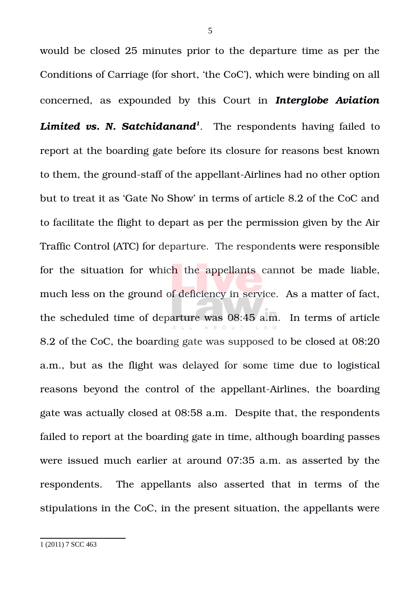<span id="page-4-0"></span>would be closed 25 minutes prior to the departure time as per the Conditions of Carriage (for short, 'the CoC'), which were binding on all concerned, as expounded by this Court in *Interglobe Aviation Limited vs. N. Satchidanand[1](#page-4-0)* . The respondents having failed to report at the boarding gate before its closure for reasons best known to them, the ground-staff of the appellant-Airlines had no other option but to treat it as 'Gate No Show' in terms of article 8.2 of the CoC and to facilitate the flight to depart as per the permission given by the Air Traffic Control (ATC) for departure. The respondents were responsible for the situation for which the appellants cannot be made liable, much less on the ground of deficiency in service. As a matter of fact, the scheduled time of departure was 08:45 a.m. In terms of article 8.2 of the CoC, the boarding gate was supposed to be closed at 08:20 a.m., but as the flight was delayed for some time due to logistical reasons beyond the control of the appellant-Airlines, the boarding gate was actually closed at 08:58 a.m. Despite that, the respondents failed to report at the boarding gate in time, although boarding passes were issued much earlier at around 07:35 a.m. as asserted by the respondents. The appellants also asserted that in terms of the stipulations in the CoC, in the present situation, the appellants were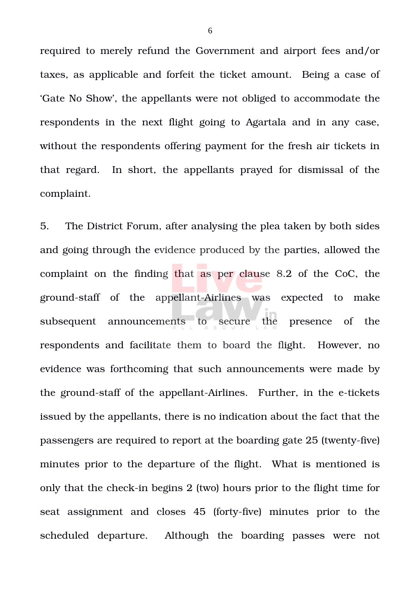required to merely refund the Government and airport fees and/or taxes, as applicable and forfeit the ticket amount. Being a case of 'Gate No Show', the appellants were not obliged to accommodate the respondents in the next flight going to Agartala and in any case, without the respondents offering payment for the fresh air tickets in that regard. In short, the appellants prayed for dismissal of the complaint.

5. The District Forum, after analysing the plea taken by both sides and going through the evidence produced by the parties, allowed the complaint on the finding that as per clause 8.2 of the CoC, the ground-staff of the appellant-Airlines was expected to make subsequent announcements to secure the presence of the respondents and facilitate them to board the flight. However, no evidence was forthcoming that such announcements were made by the ground-staff of the appellant-Airlines. Further, in the e-tickets issued by the appellants, there is no indication about the fact that the passengers are required to report at the boarding gate 25 (twenty-five) minutes prior to the departure of the flight. What is mentioned is only that the check-in begins  $2$  (two) hours prior to the flight time for seat assignment and closes 45 (forty-five) minutes prior to the scheduled departure. Although the boarding passes were not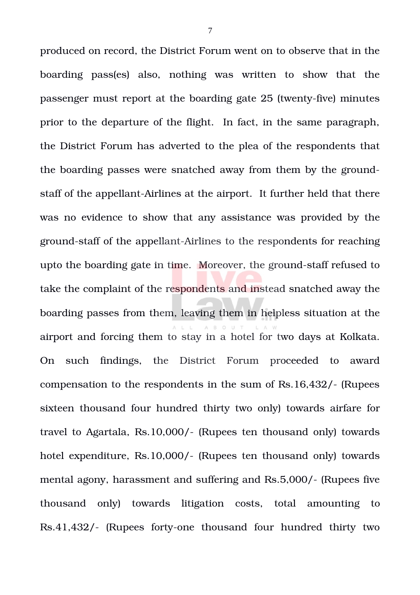produced on record, the District Forum went on to observe that in the boarding pass(es) also, nothing was written to show that the passenger must report at the boarding gate 25 (twenty-five) minutes prior to the departure of the flight. In fact, in the same paragraph, the District Forum has adverted to the plea of the respondents that the boarding passes were snatched away from them by the groundstaff of the appellant-Airlines at the airport. It further held that there was no evidence to show that any assistance was provided by the ground-staff of the appellant-Airlines to the respondents for reaching upto the boarding gate in time. Moreover, the ground-staff refused to take the complaint of the respondents and instead snatched away the boarding passes from them, leaving them in helpless situation at the airport and forcing them to stay in a hotel for two days at Kolkata. On such findings, the District Forum proceeded to award compensation to the respondents in the sum of Rs.16,432/ (Rupees sixteen thousand four hundred thirty two only) towards airfare for travel to Agartala, Rs.10,000/- (Rupees ten thousand only) towards hotel expenditure, Rs.10,000/- (Rupees ten thousand only) towards mental agony, harassment and suffering and Rs.5,000/- (Rupees five thousand only) towards litigation costs, total amounting to Rs.41,432/- (Rupees forty-one thousand four hundred thirty two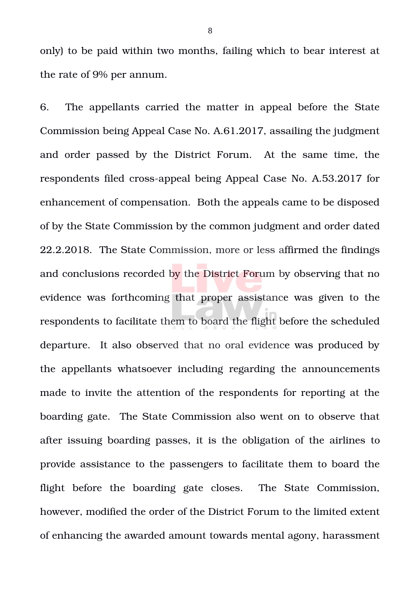only) to be paid within two months, failing which to bear interest at the rate of 9% per annum.

6. The appellants carried the matter in appeal before the State Commission being Appeal Case No. A.61.2017, assailing the judgment and order passed by the District Forum. At the same time, the respondents filed cross-appeal being Appeal Case No. A.53.2017 for enhancement of compensation. Both the appeals came to be disposed of by the State Commission by the common judgment and order dated 22.2.2018. The State Commission, more or less affirmed the findings and conclusions recorded by the District Forum by observing that no evidence was forthcoming that proper assistance was given to the respondents to facilitate them to board the flight before the scheduled departure. It also observed that no oral evidence was produced by the appellants whatsoever including regarding the announcements made to invite the attention of the respondents for reporting at the boarding gate. The State Commission also went on to observe that after issuing boarding passes, it is the obligation of the airlines to provide assistance to the passengers to facilitate them to board the flight before the boarding gate closes. The State Commission, however, modified the order of the District Forum to the limited extent of enhancing the awarded amount towards mental agony, harassment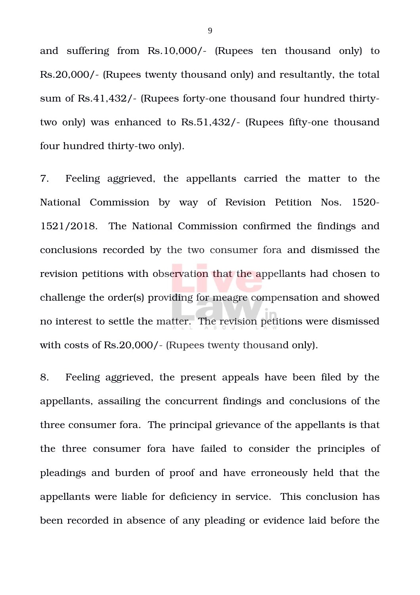and suffering from Rs.10,000/- (Rupees ten thousand only) to Rs.20,000/ (Rupees twenty thousand only) and resultantly, the total sum of Rs.41,432/- (Rupees forty-one thousand four hundred thirtytwo only) was enhanced to Rs.51,432/- (Rupees fifty-one thousand four hundred thirty-two only).

7. Feeling aggrieved, the appellants carried the matter to the National Commission by way of Revision Petition Nos. 1520-1521/2018. The National Commission confirmed the findings and conclusions recorded by the two consumer fora and dismissed the revision petitions with observation that the appellants had chosen to challenge the order(s) providing for meagre compensation and showed no interest to settle the matter. The revision petitions were dismissed with costs of Rs.20,000/- (Rupees twenty thousand only).

8. Feeling aggrieved, the present appeals have been filed by the appellants, assailing the concurrent findings and conclusions of the three consumer fora. The principal grievance of the appellants is that the three consumer fora have failed to consider the principles of pleadings and burden of proof and have erroneously held that the appellants were liable for deficiency in service. This conclusion has been recorded in absence of any pleading or evidence laid before the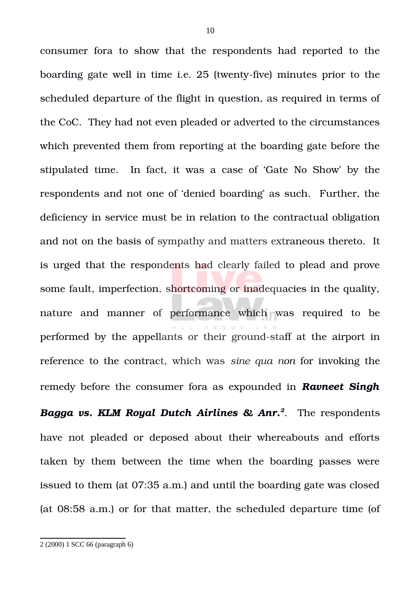consumer fora to show that the respondents had reported to the boarding gate well in time i.e. 25 (twenty-five) minutes prior to the scheduled departure of the flight in question, as required in terms of the CoC. They had not even pleaded or adverted to the circumstances which prevented them from reporting at the boarding gate before the stipulated time. In fact, it was a case of 'Gate No Show' by the respondents and not one of 'denied boarding' as such. Further, the deficiency in service must be in relation to the contractual obligation and not on the basis of sympathy and matters extraneous thereto. It is urged that the respondents had clearly failed to plead and prove some fault, imperfection, shortcoming or inadequacies in the quality, nature and manner of performance which was required to be performed by the appellants or their ground-staff at the airport in reference to the contract, which was *sine qua non* for invoking the remedy before the consumer fora as expounded in *Ravneet Singh*

*Bagga vs. KLM Royal Dutch Airlines & Anr.[2](#page-9-0)* . The respondents have not pleaded or deposed about their whereabouts and efforts taken by them between the time when the boarding passes were issued to them (at 07:35 a.m.) and until the boarding gate was closed (at 08:58 a.m.) or for that matter, the scheduled departure time (of

<span id="page-9-0"></span><sup>2</sup> (2000) 1 SCC 66 (paragraph 6)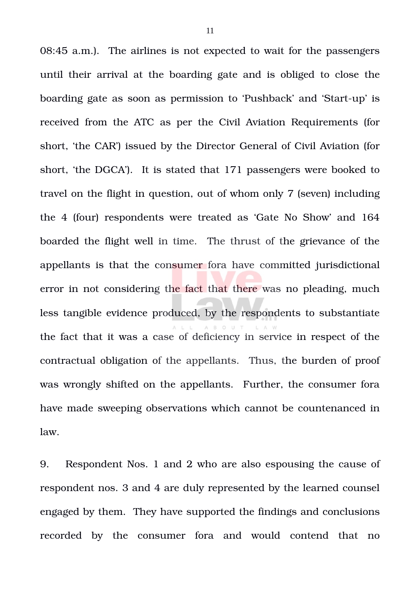08:45 a.m.). The airlines is not expected to wait for the passengers until their arrival at the boarding gate and is obliged to close the boarding gate as soon as permission to 'Pushback' and 'Start-up' is received from the ATC as per the Civil Aviation Requirements (for short, 'the CAR') issued by the Director General of Civil Aviation (for short, 'the DGCA'). It is stated that 171 passengers were booked to travel on the flight in question, out of whom only 7 (seven) including the 4 (four) respondents were treated as 'Gate No Show' and 164 boarded the flight well in time. The thrust of the grievance of the appellants is that the consumer fora have committed jurisdictional error in not considering the fact that there was no pleading, much less tangible evidence produced, by the respondents to substantiate the fact that it was a case of deficiency in service in respect of the contractual obligation of the appellants. Thus, the burden of proof was wrongly shifted on the appellants. Further, the consumer fora have made sweeping observations which cannot be countenanced in law.

9. Respondent Nos. 1 and 2 who are also espousing the cause of respondent nos. 3 and 4 are duly represented by the learned counsel engaged by them. They have supported the findings and conclusions recorded by the consumer fora and would contend that no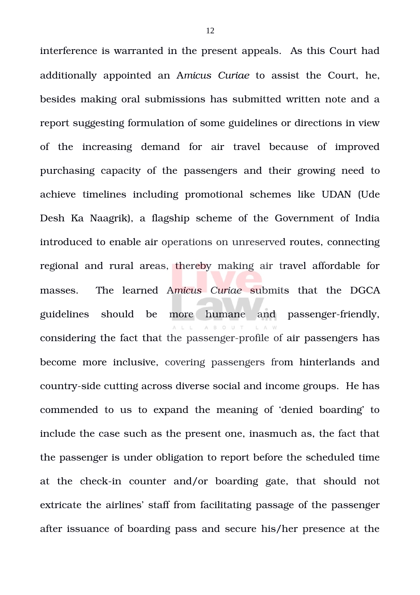interference is warranted in the present appeals. As this Court had additionally appointed an A*micus Curiae* to assist the Court, he, besides making oral submissions has submitted written note and a report suggesting formulation of some guidelines or directions in view of the increasing demand for air travel because of improved purchasing capacity of the passengers and their growing need to achieve timelines including promotional schemes like UDAN (Ude Desh Ka Naagrik), a flagship scheme of the Government of India introduced to enable air operations on unreserved routes, connecting regional and rural areas, thereby making air travel affordable for masses. The learned Amicus Curiae submits that the DGCA guidelines should be more humane and passenger-friendly, considering the fact that the passenger-profile of air passengers has become more inclusive, covering passengers from hinterlands and country-side cutting across diverse social and income groups. He has commended to us to expand the meaning of 'denied boarding' to include the case such as the present one, inasmuch as, the fact that the passenger is under obligation to report before the scheduled time at the check-in counter and/or boarding gate, that should not extricate the airlines' staff from facilitating passage of the passenger after issuance of boarding pass and secure his/her presence at the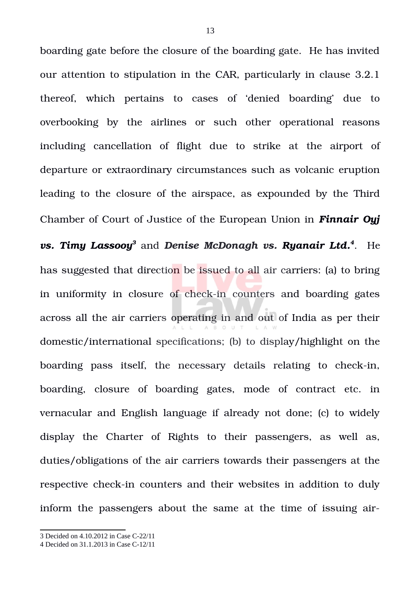boarding gate before the closure of the boarding gate. He has invited our attention to stipulation in the CAR, particularly in clause 3.2.1 thereof, which pertains to cases of 'denied boarding' due to overbooking by the airlines or such other operational reasons including cancellation of flight due to strike at the airport of departure or extraordinary circumstances such as volcanic eruption leading to the closure of the airspace, as expounded by the Third Chamber of Court of Justice of the European Union in *Finnair Oyj*  $\boldsymbol{v}$ s. Timy Lassooy $^3$  $^3$  and Denise McDonagh  $\boldsymbol{v}$ s. Ryanair Ltd. $^4$  $^4$ . He has suggested that direction be issued to all air carriers: (a) to bring in uniformity in closure of check-in counters and boarding gates across all the air carriers operating in and out of India as per their domestic/international specifications; (b) to display/highlight on the boarding pass itself, the necessary details relating to check-in, boarding, closure of boarding gates, mode of contract etc. in vernacular and English language if already not done; (c) to widely display the Charter of Rights to their passengers, as well as, duties/obligations of the air carriers towards their passengers at the respective check-in counters and their websites in addition to duly inform the passengers about the same at the time of issuing air-

<span id="page-12-0"></span><sup>3</sup> Decided on 4.10.2012 in Case C-22/11

<span id="page-12-1"></span><sup>4</sup> Decided on 31.1.2013 in Case C-12/11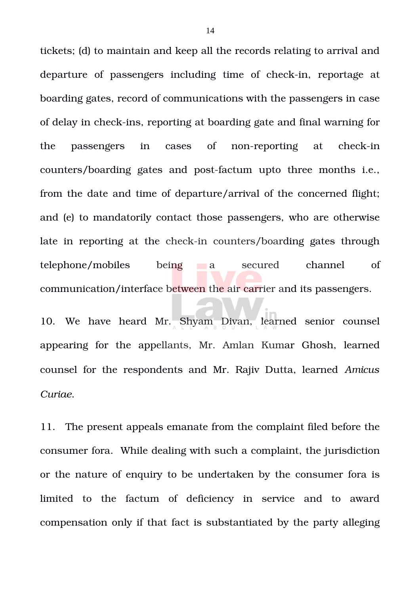tickets; (d) to maintain and keep all the records relating to arrival and departure of passengers including time of check-in, reportage at boarding gates, record of communications with the passengers in case of delay in check-ins, reporting at boarding gate and final warning for the passengers in cases of non-reporting at check-in counters/boarding gates and post-factum upto three months *i.e.*, from the date and time of departure/arrival of the concerned flight; and (e) to mandatorily contact those passengers, who are otherwise late in reporting at the check-in counters/boarding gates through telephone/mobiles being a secured channel of communication/interface between the air carrier and its passengers.

10. We have heard Mr. Shyam Divan, learned senior counsel appearing for the appellants, Mr. Amlan Kumar Ghosh, learned counsel for the respondents and Mr. Rajiv Dutta, learned *Amicus Curiae*.

11. The present appeals emanate from the complaint filed before the consumer fora. While dealing with such a complaint, the jurisdiction or the nature of enquiry to be undertaken by the consumer fora is limited to the factum of deficiency in service and to award compensation only if that fact is substantiated by the party alleging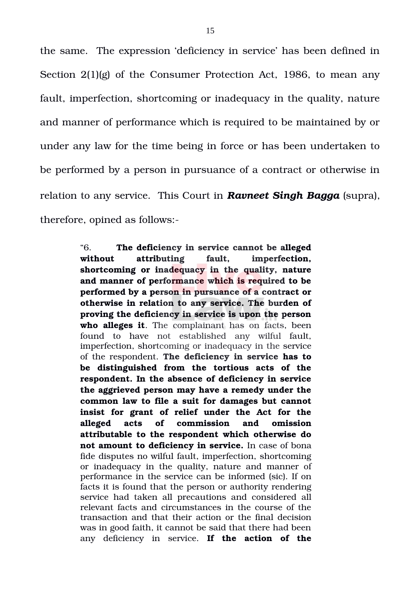the same. The expression 'deficiency in service' has been defined in Section 2(1)(g) of the Consumer Protection Act, 1986, to mean any fault, imperfection, shortcoming or inadequacy in the quality, nature and manner of performance which is required to be maintained by or under any law for the time being in force or has been undertaken to be performed by a person in pursuance of a contract or otherwise in relation to any service. This Court in *Ravneet Singh Bagga* (supra), therefore, opined as follows:

> "6. **The deficiency in service cannot be alleged without attributing fault, imperfection, shortcoming or inadequacy in the quality, nature and manner of performance which is required to be performed by a person in pursuance of a contract or otherwise in relation to any service. The burden of proving the deficiency in service is upon the person** who alleges it. The complainant has on facts, been found to have not established any wilful fault, imperfection, shortcoming or inadequacy in the service of the respondent. **The deficiency in service has to be distinguished from the tortious acts of the respondent. In the absence of deficiency in service the aggrieved person may have a remedy under the common law to file a suit for damages but cannot insist for grant of relief under the Act for the alleged acts of commission and omission attributable to the respondent which otherwise do not amount to deficiency in service.** In case of bona fide disputes no wilful fault, imperfection, shortcoming or inadequacy in the quality, nature and manner of performance in the service can be informed (sic). If on facts it is found that the person or authority rendering service had taken all precautions and considered all relevant facts and circumstances in the course of the transaction and that their action or the final decision was in good faith, it cannot be said that there had been any deficiency in service. If the action of the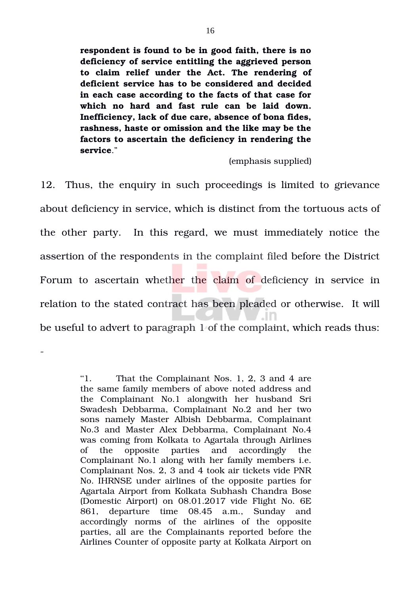**respondent is found to be in good faith, there is no deficiency of service entitling the aggrieved person to claim relief under the Act. The rendering of deficient service has to be considered and decided in each case according to the facts of that case for which no hard and fast rule can be laid down. Inefficiency, lack of due care, absence of bona fides, rashness, haste or omission and the like may be the factors to ascertain the deficiency in rendering the service**."

(emphasis supplied)

12. Thus, the enquiry in such proceedings is limited to grievance about deficiency in service, which is distinct from the tortuous acts of the other party. In this regard, we must immediately notice the assertion of the respondents in the complaint filed before the District Forum to ascertain whether the claim of deficiency in service in relation to the stated contract has been pleaded or otherwise. It will - In be useful to advert to paragraph 1 of the complaint, which reads thus:

> "1. That the Complainant Nos. 1, 2, 3 and 4 are the same family members of above noted address and the Complainant No.1 alongwith her husband Sri Swadesh Debbarma, Complainant No.2 and her two sons namely Master Albish Debbarma, Complainant No.3 and Master Alex Debbarma, Complainant No.4 was coming from Kolkata to Agartala through Airlines of the opposite parties and accordingly the Complainant No.1 along with her family members i.e. Complainant Nos. 2, 3 and 4 took air tickets vide PNR No. IHRNSE under airlines of the opposite parties for Agartala Airport from Kolkata Subhash Chandra Bose (Domestic Airport) on 08.01.2017 vide Flight No. 6E 861, departure time 08.45 a.m., Sunday and accordingly norms of the airlines of the opposite parties, all are the Complainants reported before the Airlines Counter of opposite party at Kolkata Airport on

 $\overline{a}$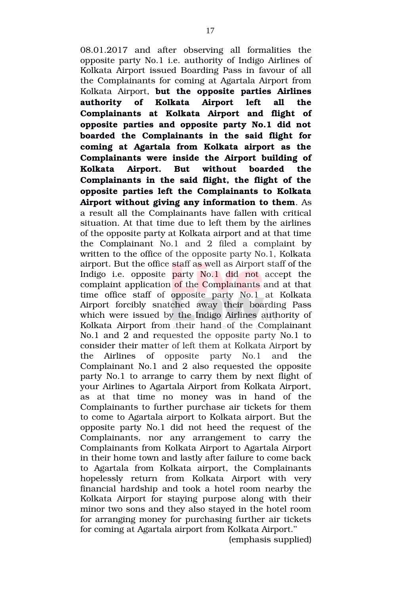08.01.2017 and after observing all formalities the opposite party No.1 i.e. authority of Indigo Airlines of Kolkata Airport issued Boarding Pass in favour of all the Complainants for coming at Agartala Airport from Kolkata Airport, **but the opposite parties Airlines authority of Kolkata Airport left all the Complainants at Kolkata Airport and flight of opposite parties and opposite party No.1 did not boarded the Complainants in the said flight for coming at Agartala from Kolkata airport as the Complainants were inside the Airport building of Kolkata Airport. But without boarded the** Complainants in the said flight, the flight of the **opposite parties left the Complainants to Kolkata Airport without giving any information to them**. As a result all the Complainants have fallen with critical situation. At that time due to left them by the airlines of the opposite party at Kolkata airport and at that time the Complainant No.1 and 2 filed a complaint by written to the office of the opposite party No.1, Kolkata airport. But the office staff as well as Airport staff of the Indigo i.e. opposite party No.1 did not accept the complaint application of the Complainants and at that time office staff of opposite party No.1 at Kolkata Airport forcibly snatched away their boarding Pass which were issued by the Indigo Airlines authority of Kolkata Airport from their hand of the Complainant No.1 and 2 and requested the opposite party No.1 to consider their matter of left them at Kolkata Airport by the Airlines of opposite party No.1 and the Complainant No.1 and 2 also requested the opposite party No.1 to arrange to carry them by next flight of your Airlines to Agartala Airport from Kolkata Airport, as at that time no money was in hand of the Complainants to further purchase air tickets for them to come to Agartala airport to Kolkata airport. But the opposite party No.1 did not heed the request of the Complainants, nor any arrangement to carry the Complainants from Kolkata Airport to Agartala Airport in their home town and lastly after failure to come back to Agartala from Kolkata airport, the Complainants hopelessly return from Kolkata Airport with very financial hardship and took a hotel room nearby the Kolkata Airport for staying purpose along with their minor two sons and they also stayed in the hotel room for arranging money for purchasing further air tickets for coming at Agartala airport from Kolkata Airport.''

(emphasis supplied)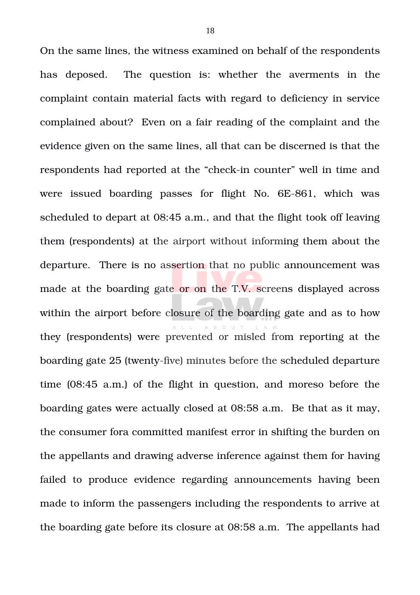On the same lines, the witness examined on behalf of the respondents has deposed. The question is: whether the averments in the complaint contain material facts with regard to deficiency in service complained about? Even on a fair reading of the complaint and the evidence given on the same lines, all that can be discerned is that the respondents had reported at the "check-in counter" well in time and were issued boarding passes for flight No. 6E-861, which was scheduled to depart at 08:45 a.m., and that the flight took off leaving them (respondents) at the airport without informing them about the departure. There is no assertion that no public announcement was made at the boarding gate or on the T.V. screens displayed across within the airport before closure of the boarding gate and as to how they (respondents) were prevented or misled from reporting at the boarding gate 25 (twenty-five) minutes before the scheduled departure time (08:45 a.m.) of the flight in question, and moreso before the boarding gates were actually closed at 08:58 a.m. Be that as it may, the consumer fora committed manifest error in shifting the burden on the appellants and drawing adverse inference against them for having failed to produce evidence regarding announcements having been made to inform the passengers including the respondents to arrive at the boarding gate before its closure at 08:58 a.m. The appellants had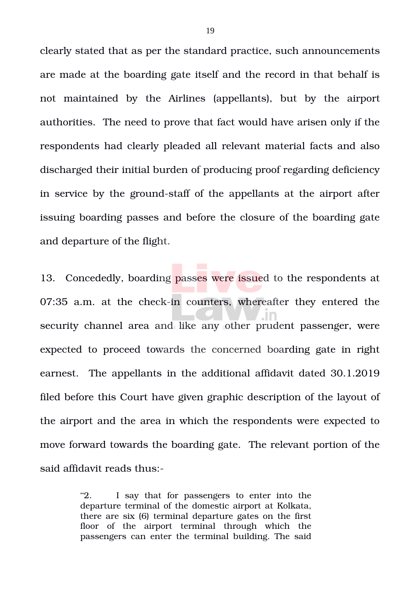clearly stated that as per the standard practice, such announcements are made at the boarding gate itself and the record in that behalf is not maintained by the Airlines (appellants), but by the airport authorities. The need to prove that fact would have arisen only if the respondents had clearly pleaded all relevant material facts and also discharged their initial burden of producing proof regarding deficiency in service by the ground-staff of the appellants at the airport after issuing boarding passes and before the closure of the boarding gate and departure of the flight.

13. Concededly, boarding passes were issued to the respondents at  $07:35$  a.m. at the check-in counters, whereafter they entered the security channel area and like any other prudent passenger, were expected to proceed towards the concerned boarding gate in right earnest. The appellants in the additional affidavit dated 30.1.2019 filed before this Court have given graphic description of the layout of the airport and the area in which the respondents were expected to move forward towards the boarding gate. The relevant portion of the said affidavit reads thus:

> "2. I say that for passengers to enter into the departure terminal of the domestic airport at Kolkata, there are six (6) terminal departure gates on the first floor of the airport terminal through which the passengers can enter the terminal building. The said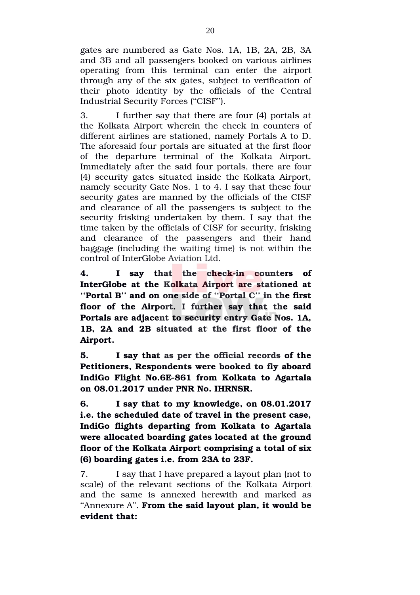gates are numbered as Gate Nos. 1A, 1B, 2A, 2B, 3A and 3B and all passengers booked on various airlines operating from this terminal can enter the airport through any of the six gates, subject to verification of their photo identity by the officials of the Central Industrial Security Forces (''CISF'').

3. I further say that there are four (4) portals at the Kolkata Airport wherein the check in counters of different airlines are stationed, namely Portals A to D. The aforesaid four portals are situated at the first floor of the departure terminal of the Kolkata Airport. Immediately after the said four portals, there are four (4) security gates situated inside the Kolkata Airport, namely security Gate Nos. 1 to 4. I say that these four security gates are manned by the officials of the CISF and clearance of all the passengers is subject to the security frisking undertaken by them. I say that the time taken by the officials of CISF for security, frisking and clearance of the passengers and their hand baggage (including the waiting time) is not within the control of InterGlobe Aviation Ltd.

4. **I** say that the check-in counters of **InterGlobe at the Kolkata Airport are stationed at ''Portal B'' and on one side of ''Portal C'' in the first** floor of the Airport. I further say that the said **Portals are adjacent to security entry Gate Nos. 1A, 1B, 2A and 2B situated at the first floor of the Airport.** 

**5. I say that as per the official records of the Petitioners, Respondents were booked to fly aboard** IndiGo Flight No.6E-861 from Kolkata to Agartala **on 08.01.2017 under PNR No. IHRNSR.** 

**6. I say that to my knowledge, on 08.01.2017 i.e. the scheduled date of travel in the present case, IndiGo flights departing from Kolkata to Agartala were allocated boarding gates located at the ground floor of the Kolkata Airport comprising a total of six (6) boarding gates i.e. from 23A to 23F.** 

7. I say that I have prepared a layout plan (not to scale) of the relevant sections of the Kolkata Airport and the same is annexed herewith and marked as ''Annexure A''. **From the said layout plan, it would be evident that:**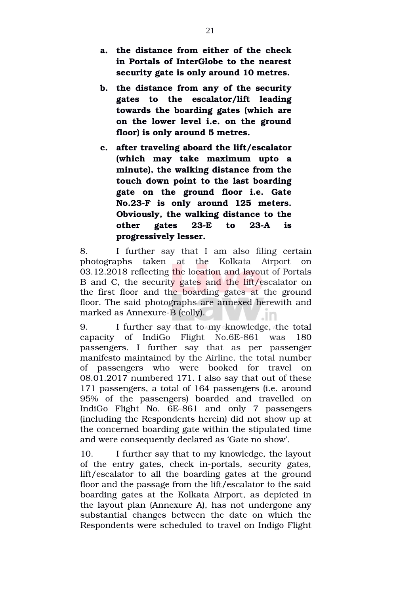- **a. the distance from either of the check in Portals of InterGlobe to the nearest security gate is only around 10 metres.**
- **b. the distance from any of the security gates to the escalator/lift leading towards the boarding gates (which are on the lower level i.e. on the ground floor) is only around 5 metres.**
- **c. after traveling aboard the lift/escalator (which may take maximum upto a minute), the walking distance from the touch down point to the last boarding gate on the ground floor i.e. Gate No.23F is only around 125 meters. Obviously, the walking distance to the** other gates 23-E to 23-A is **progressively lesser.**

8. I further say that I am also filing certain photographs taken at the Kolkata Airport on 03.12.2018 reflecting the location and layout of Portals B and C, the security gates and the lift/escalator on the first floor and the boarding gates at the ground floor. The said photographs are annexed herewith and marked as Annexure-B (colly).

9. I further say that to my knowledge, the total capacity of IndiGo  $Flight$  No.6E-861 was  $180$ passengers. I further say that as per passenger manifesto maintained by the Airline, the total number of passengers who were booked for travel on 08.01.2017 numbered 171. I also say that out of these 171 passengers, a total of 164 passengers (i.e. around 95% of the passengers) boarded and travelled on IndiGo Flight No. 6E-861 and only 7 passengers (including the Respondents herein) did not show up at the concerned boarding gate within the stipulated time and were consequently declared as 'Gate no show'.

10. I further say that to my knowledge, the layout of the entry gates, check in-portals, security gates, lift/escalator to all the boarding gates at the ground floor and the passage from the lift/escalator to the said boarding gates at the Kolkata Airport, as depicted in the layout plan (Annexure A), has not undergone any substantial changes between the date on which the Respondents were scheduled to travel on Indigo Flight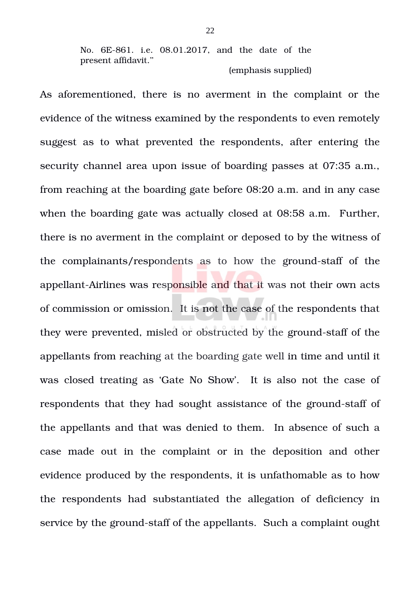No. 6E-861. i.e. 08.01.2017, and the date of the present affidavit.'' (emphasis supplied)

As aforementioned, there is no averment in the complaint or the evidence of the witness examined by the respondents to even remotely suggest as to what prevented the respondents, after entering the security channel area upon issue of boarding passes at 07:35 a.m., from reaching at the boarding gate before 08:20 a.m. and in any case when the boarding gate was actually closed at 08:58 a.m. Further, there is no averment in the complaint or deposed to by the witness of the complainants/respondents as to how the ground-staff of the appellant-Airlines was responsible and that it was not their own acts of commission or omission. It is not the case of the respondents that they were prevented, misled or obstructed by the ground-staff of the appellants from reaching at the boarding gate well in time and until it was closed treating as 'Gate No Show'. It is also not the case of respondents that they had sought assistance of the ground-staff of the appellants and that was denied to them. In absence of such a case made out in the complaint or in the deposition and other evidence produced by the respondents, it is unfathomable as to how the respondents had substantiated the allegation of deficiency in service by the ground-staff of the appellants. Such a complaint ought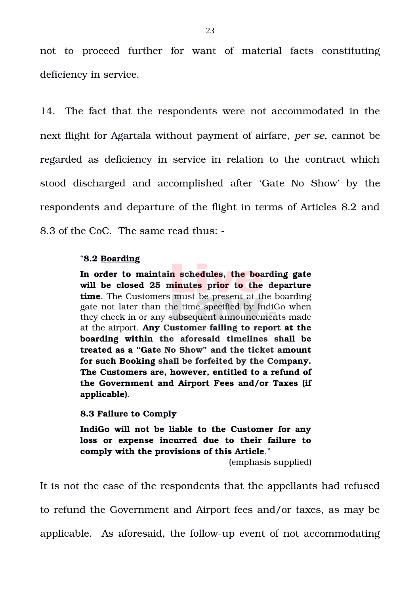not to proceed further for want of material facts constituting deficiency in service.

14. The fact that the respondents were not accommodated in the next flight for Agartala without payment of airfare, *per se*, cannot be regarded as deficiency in service in relation to the contract which stood discharged and accomplished after 'Gate No Show' by the respondents and departure of the flight in terms of Articles 8.2 and 8.3 of the CoC. The same read thus:

# "**8.2 Boarding**

**In order to maintain schedules, the boarding gate will be closed 25 minutes prior to the departure time**. The Customers must be present at the boarding gate not later than the time specified by IndiGo when they check in or any subsequent announcements made at the airport. **Any Customer failing to report at the boarding within the aforesaid timelines shall be treated as a "Gate No Show" and the ticket amount for such Booking shall be forfeited by the Company. The Customers are, however, entitled to a refund of the Government and Airport Fees and/or Taxes (if applicable)**.

**8.3 Failure to Comply**

**IndiGo will not be liable to the Customer for any loss or expense incurred due to their failure to comply with the provisions of this Article**."

(emphasis supplied)

It is not the case of the respondents that the appellants had refused to refund the Government and Airport fees and/or taxes, as may be applicable. As aforesaid, the follow-up event of not accommodating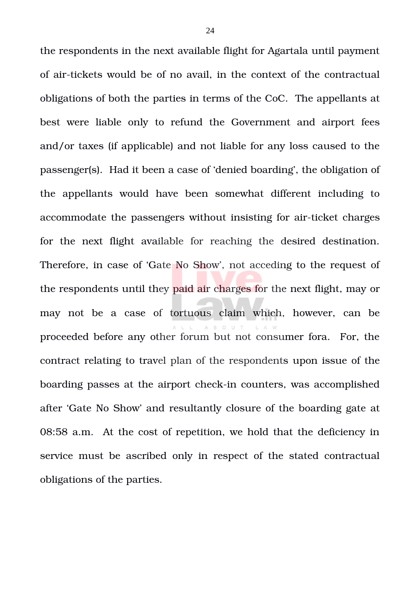the respondents in the next available flight for Agartala until payment of air-tickets would be of no avail, in the context of the contractual obligations of both the parties in terms of the CoC. The appellants at best were liable only to refund the Government and airport fees and/or taxes (if applicable) and not liable for any loss caused to the passenger(s). Had it been a case of 'denied boarding', the obligation of the appellants would have been somewhat different including to accommodate the passengers without insisting for air-ticket charges for the next flight available for reaching the desired destination. Therefore, in case of 'Gate No Show', not acceding to the request of the respondents until they paid air charges for the next flight, may or may not be a case of tortuous claim which, however, can be proceeded before any other forum but not consumer fora. For, the contract relating to travel plan of the respondents upon issue of the boarding passes at the airport check-in counters, was accomplished after 'Gate No Show' and resultantly closure of the boarding gate at 08:58 a.m. At the cost of repetition, we hold that the deficiency in service must be ascribed only in respect of the stated contractual obligations of the parties.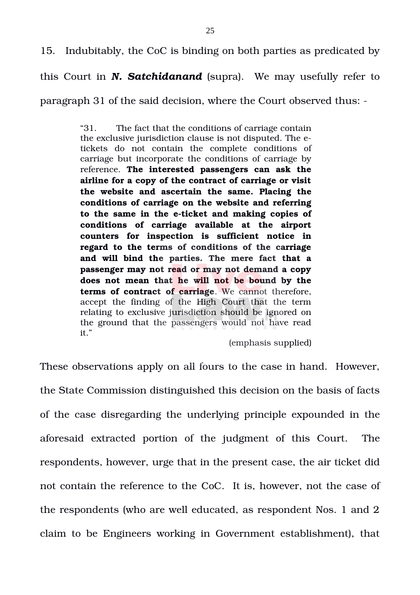15. Indubitably, the CoC is binding on both parties as predicated by

this Court in *N. Satchidanand* (supra). We may usefully refer to

paragraph 31 of the said decision, where the Court observed thus:

"31. The fact that the conditions of carriage contain the exclusive jurisdiction clause is not disputed. The etickets do not contain the complete conditions of carriage but incorporate the conditions of carriage by reference. **The interested passengers can ask the airline for a copy of the contract of carriage or visit the website and ascertain the same. Placing the conditions of carriage on the website and referring to the same in the eticket and making copies of conditions of carriage available at the airport counters for inspection is sufficient notice in** regard to the terms of conditions of the carriage **and will bind the parties. The mere fact that a passenger may not read or may not demand a copy does not mean that he will not be bound by the terms of contract of carriage**. We cannot therefore, accept the finding of the High Court that the term relating to exclusive jurisdiction should be ignored on the ground that the passengers would not have read it."

(emphasis supplied)

These observations apply on all fours to the case in hand. However, the State Commission distinguished this decision on the basis of facts of the case disregarding the underlying principle expounded in the aforesaid extracted portion of the judgment of this Court. The respondents, however, urge that in the present case, the air ticket did not contain the reference to the CoC. It is, however, not the case of the respondents (who are well educated, as respondent Nos. 1 and 2 claim to be Engineers working in Government establishment), that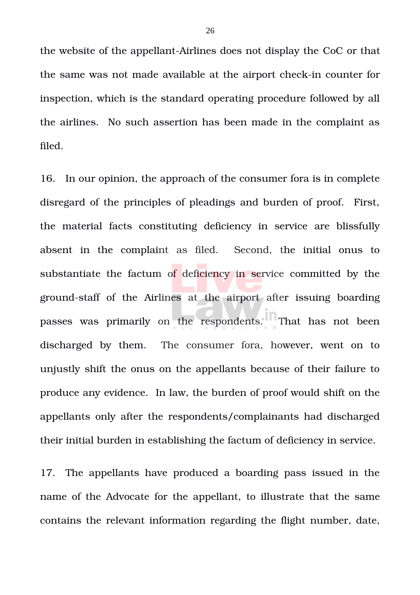the website of the appellant-Airlines does not display the CoC or that the same was not made available at the airport check-in counter for inspection, which is the standard operating procedure followed by all the airlines. No such assertion has been made in the complaint as filed.

16. In our opinion, the approach of the consumer fora is in complete disregard of the principles of pleadings and burden of proof. First, the material facts constituting deficiency in service are blissfully absent in the complaint as filed. Second, the initial onus to substantiate the factum of deficiency in service committed by the ground-staff of the Airlines at the airport after issuing boarding passes was primarily on the respondents. That has not been discharged by them. The consumer fora, however, went on to unjustly shift the onus on the appellants because of their failure to produce any evidence. In law, the burden of proof would shift on the appellants only after the respondents/complainants had discharged their initial burden in establishing the factum of deficiency in service.

17. The appellants have produced a boarding pass issued in the name of the Advocate for the appellant, to illustrate that the same contains the relevant information regarding the flight number, date,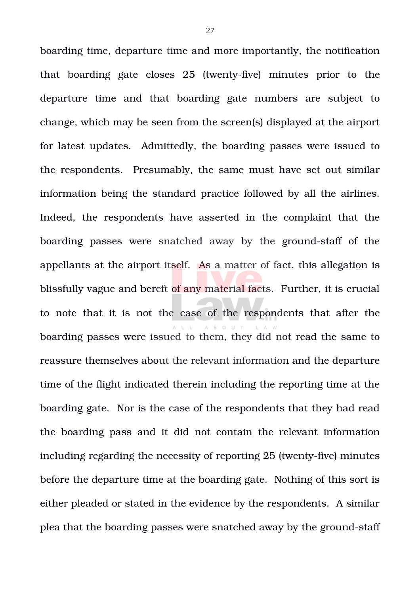boarding time, departure time and more importantly, the notification that boarding gate closes  $25$  (twenty-five) minutes prior to the departure time and that boarding gate numbers are subject to change, which may be seen from the screen(s) displayed at the airport for latest updates. Admittedly, the boarding passes were issued to the respondents. Presumably, the same must have set out similar information being the standard practice followed by all the airlines. Indeed, the respondents have asserted in the complaint that the boarding passes were snatched away by the ground-staff of the appellants at the airport itself. As a matter of fact, this allegation is blissfully vague and bereft of any material facts. Further, it is crucial to note that it is not the case of the respondents that after the boarding passes were issued to them, they did not read the same to reassure themselves about the relevant information and the departure time of the flight indicated therein including the reporting time at the boarding gate. Nor is the case of the respondents that they had read the boarding pass and it did not contain the relevant information including regarding the necessity of reporting 25 (twenty-five) minutes before the departure time at the boarding gate. Nothing of this sort is either pleaded or stated in the evidence by the respondents. A similar plea that the boarding passes were snatched away by the ground-staff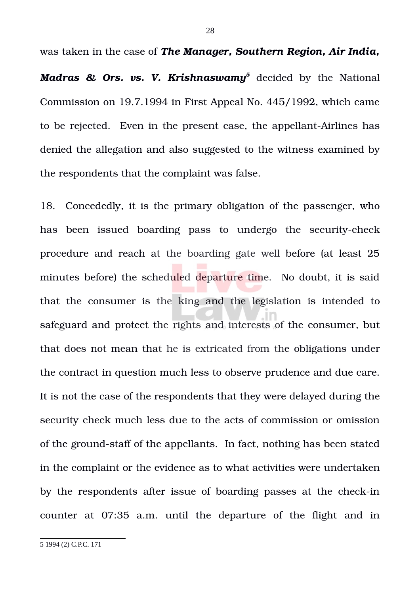was taken in the case of *The Manager, Southern Region, Air India,*

Madras & Ors. vs. V. Krishnaswamy<sup>[5](#page-27-0)</sup> decided by the National Commission on 19.7.1994 in First Appeal No. 445/1992, which came to be rejected. Even in the present case, the appellant-Airlines has denied the allegation and also suggested to the witness examined by the respondents that the complaint was false.

18. Concededly, it is the primary obligation of the passenger, who has been issued boarding pass to undergo the security-check procedure and reach at the boarding gate well before (at least 25 minutes before) the scheduled departure time. No doubt, it is said that the consumer is the king and the legislation is intended to safeguard and protect the rights and interests of the consumer, but that does not mean that he is extricated from the obligations under the contract in question much less to observe prudence and due care. It is not the case of the respondents that they were delayed during the security check much less due to the acts of commission or omission of the ground-staff of the appellants. In fact, nothing has been stated in the complaint or the evidence as to what activities were undertaken by the respondents after issue of boarding passes at the check-in counter at 07:35 a.m. until the departure of the flight and in

<span id="page-27-0"></span>5 1994 (2) C.P.C. 171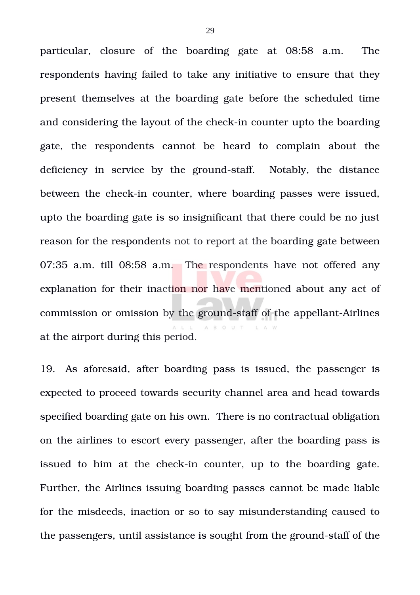particular, closure of the boarding gate at 08:58 a.m. The respondents having failed to take any initiative to ensure that they present themselves at the boarding gate before the scheduled time and considering the layout of the check-in counter upto the boarding gate, the respondents cannot be heard to complain about the deficiency in service by the ground-staff. Notably, the distance between the check-in counter, where boarding passes were issued, upto the boarding gate is so insignificant that there could be no just reason for the respondents not to report at the boarding gate between 07:35 a.m. till 08:58 a.m. The respondents have not offered any explanation for their inaction nor have mentioned about any act of commission or omission by the ground-staff of the appellant-Airlines A B O U T at the airport during this period.

19. As aforesaid, after boarding pass is issued, the passenger is expected to proceed towards security channel area and head towards specified boarding gate on his own. There is no contractual obligation on the airlines to escort every passenger, after the boarding pass is issued to him at the check-in counter, up to the boarding gate. Further, the Airlines issuing boarding passes cannot be made liable for the misdeeds, inaction or so to say misunderstanding caused to the passengers, until assistance is sought from the ground-staff of the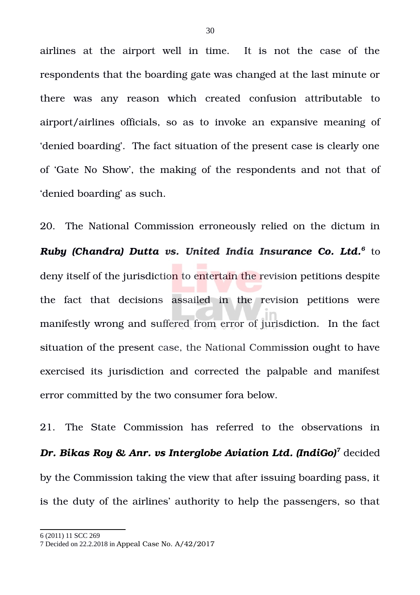airlines at the airport well in time. It is not the case of the respondents that the boarding gate was changed at the last minute or there was any reason which created confusion attributable to airport/airlines officials, so as to invoke an expansive meaning of 'denied boarding'. The fact situation of the present case is clearly one of 'Gate No Show', the making of the respondents and not that of 'denied boarding' as such.

20. The National Commission erroneously relied on the dictum in *Ruby (Chandra) Dutta vs. United India Insurance Co. Ltd.[6](#page-29-0)* to deny itself of the jurisdiction to entertain the revision petitions despite the fact that decisions assailed in the revision petitions were manifestly wrong and suffered from error of jurisdiction. In the fact situation of the present case, the National Commission ought to have exercised its jurisdiction and corrected the palpable and manifest error committed by the two consumer fora below.

21. The State Commission has referred to the observations in *Dr. Bikas Roy & Anr. vs Interglobe Aviation Ltd. (IndiGo)[7](#page-29-1)* decided by the Commission taking the view that after issuing boarding pass, it is the duty of the airlines' authority to help the passengers, so that

<span id="page-29-0"></span>6 (2011) 11 SCC 269

<span id="page-29-1"></span><sup>7</sup> Decided on 22.2.2018 in Appeal Case No. A/42/2017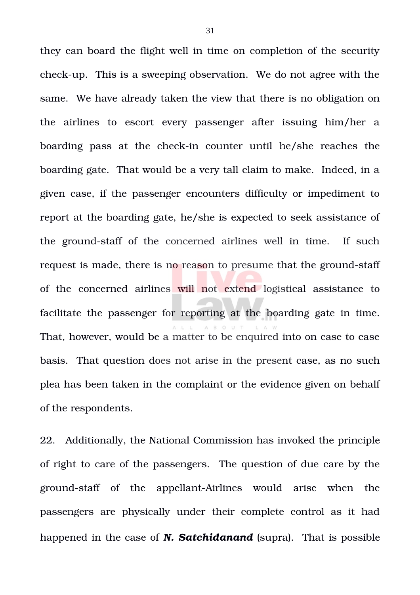they can board the flight well in time on completion of the security check-up. This is a sweeping observation. We do not agree with the same. We have already taken the view that there is no obligation on the airlines to escort every passenger after issuing him/her a boarding pass at the check-in counter until he/she reaches the boarding gate. That would be a very tall claim to make. Indeed, in a given case, if the passenger encounters difficulty or impediment to report at the boarding gate, he/she is expected to seek assistance of the ground-staff of the concerned airlines well in time. If such request is made, there is no reason to presume that the ground-staff of the concerned airlines will not extend logistical assistance to facilitate the passenger for reporting at the boarding gate in time. That, however, would be a matter to be enquired into on case to case basis. That question does not arise in the present case, as no such plea has been taken in the complaint or the evidence given on behalf of the respondents.

22. Additionally, the National Commission has invoked the principle of right to care of the passengers. The question of due care by the ground-staff of the appellant-Airlines would arise when the passengers are physically under their complete control as it had happened in the case of *N. Satchidanand* (supra). That is possible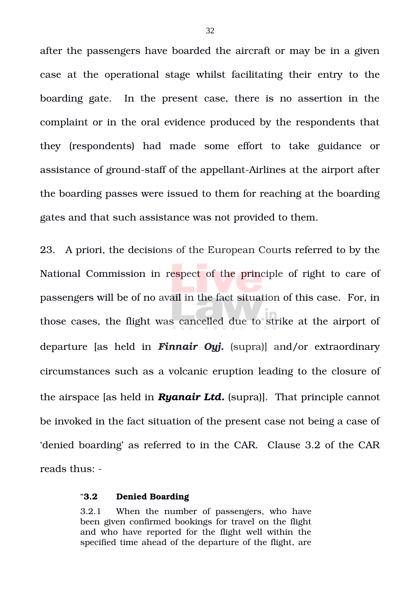after the passengers have boarded the aircraft or may be in a given case at the operational stage whilst facilitating their entry to the boarding gate. In the present case, there is no assertion in the complaint or in the oral evidence produced by the respondents that they (respondents) had made some effort to take guidance or assistance of ground-staff of the appellant-Airlines at the airport after the boarding passes were issued to them for reaching at the boarding gates and that such assistance was not provided to them.

23. A priori, the decisions of the European Courts referred to by the National Commission in respect of the principle of right to care of passengers will be of no avail in the fact situation of this case. For, in those cases, the flight was cancelled due to strike at the airport of departure [as held in *Finnair Oyj.* (supra)] and/or extraordinary circumstances such as a volcanic eruption leading to the closure of the airspace [as held in *Ryanair Ltd.* (supra)]. That principle cannot be invoked in the fact situation of the present case not being a case of 'denied boarding' as referred to in the CAR. Clause 3.2 of the CAR reads thus:

#### "**3.2 Denied Boarding**

3.2.1 When the number of passengers, who have been given confirmed bookings for travel on the flight and who have reported for the flight well within the specified time ahead of the departure of the flight, are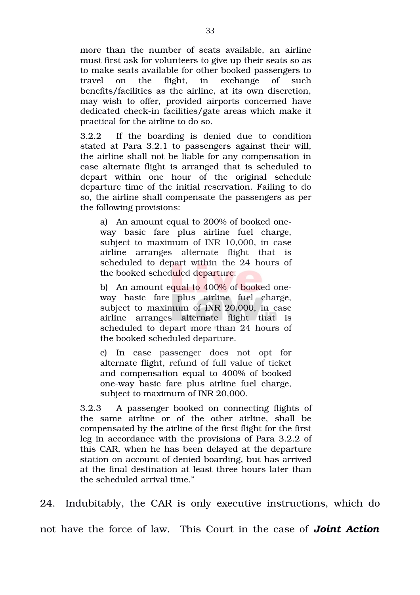more than the number of seats available, an airline must first ask for volunteers to give up their seats so as to make seats available for other booked passengers to travel on the flight, in exchange of such benefits/facilities as the airline, at its own discretion, may wish to offer, provided airports concerned have dedicated check-in facilities/gate areas which make it practical for the airline to do so.

3.2.2 If the boarding is denied due to condition stated at Para 3.2.1 to passengers against their will, the airline shall not be liable for any compensation in case alternate flight is arranged that is scheduled to depart within one hour of the original schedule departure time of the initial reservation. Failing to do so, the airline shall compensate the passengers as per the following provisions:

a) An amount equal to 200% of booked oneway basic fare plus airline fuel charge, subject to maximum of INR 10,000, in case airline arranges alternate flight that is scheduled to depart within the 24 hours of the booked scheduled departure.

b) An amount equal to 400% of booked oneway basic fare plus airline fuel charge, subject to maximum of INR 20,000, in case airline arranges alternate flight that is scheduled to depart more than 24 hours of the booked scheduled departure.

c) In case passenger does not opt for alternate flight, refund of full value of ticket and compensation equal to 400% of booked oneway basic fare plus airline fuel charge, subject to maximum of INR 20,000.

3.2.3 A passenger booked on connecting flights of the same airline or of the other airline, shall be compensated by the airline of the first flight for the first leg in accordance with the provisions of Para 3.2.2 of this CAR, when he has been delayed at the departure station on account of denied boarding, but has arrived at the final destination at least three hours later than the scheduled arrival time."

24. Indubitably, the CAR is only executive instructions, which do

not have the force of law. This Court in the case of *Joint Action*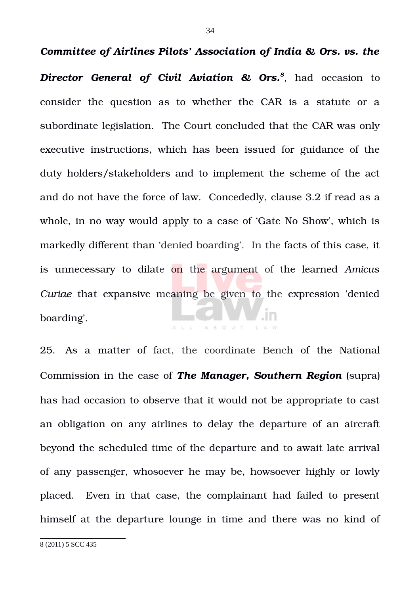*Director General of Civil Aviation & Ors.[8](#page-33-0)* , had occasion to consider the question as to whether the CAR is a statute or a subordinate legislation. The Court concluded that the CAR was only executive instructions, which has been issued for guidance of the duty holders/stakeholders and to implement the scheme of the act and do not have the force of law. Concededly, clause 3.2 if read as a whole, in no way would apply to a case of 'Gate No Show', which is markedly different than 'denied boarding'. In the facts of this case, it is unnecessary to dilate on the argument of the learned *Amicus Curiae* that expansive meaning be given to the expression 'denied boarding'. A B O U T

25. As a matter of fact, the coordinate Bench of the National Commission in the case of *The Manager, Southern Region* (supra) has had occasion to observe that it would not be appropriate to cast an obligation on any airlines to delay the departure of an aircraft beyond the scheduled time of the departure and to await late arrival of any passenger, whosoever he may be, howsoever highly or lowly placed. Even in that case, the complainant had failed to present himself at the departure lounge in time and there was no kind of

<span id="page-33-0"></span>8 (2011) 5 SCC 435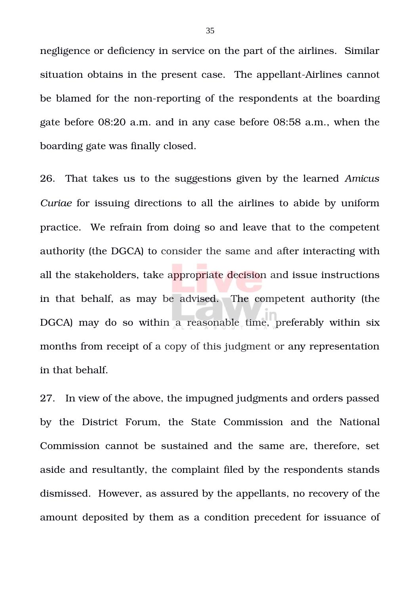negligence or deficiency in service on the part of the airlines. Similar situation obtains in the present case. The appellant-Airlines cannot be blamed for the non-reporting of the respondents at the boarding gate before 08:20 a.m. and in any case before 08:58 a.m., when the boarding gate was finally closed.

26. That takes us to the suggestions given by the learned *Amicus Curiae* for issuing directions to all the airlines to abide by uniform practice. We refrain from doing so and leave that to the competent authority (the DGCA) to consider the same and after interacting with all the stakeholders, take appropriate decision and issue instructions in that behalf, as may be advised. The competent authority (the DGCA) may do so within a reasonable time, preferably within six months from receipt of a copy of this judgment or any representation in that behalf.

27. In view of the above, the impugned judgments and orders passed by the District Forum, the State Commission and the National Commission cannot be sustained and the same are, therefore, set aside and resultantly, the complaint filed by the respondents stands dismissed. However, as assured by the appellants, no recovery of the amount deposited by them as a condition precedent for issuance of